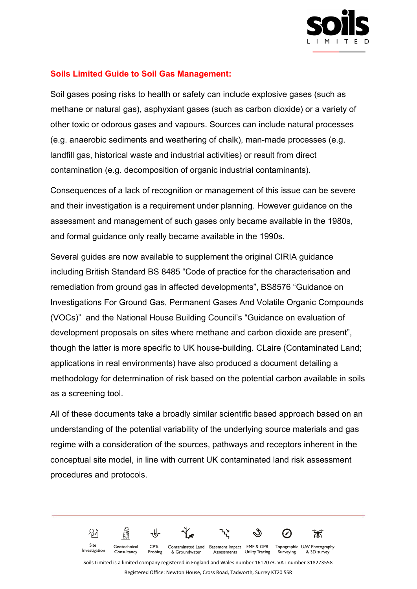

## **Soils Limited Guide to Soil Gas Management:**

Soil gases posing risks to health or safety can include explosive gases (such as methane or natural gas), asphyxiant gases (such as carbon dioxide) or a variety of other toxic or odorous gases and vapours. Sources can include natural processes (e.g. anaerobic sediments and weathering of chalk), man-made processes (e.g. landfill gas, historical waste and industrial activities) or result from direct contamination (e.g. decomposition of organic industrial contaminants).

Consequences of a lack of recognition or management of this issue can be severe and their investigation is a requirement under planning. However guidance on the assessment and management of such gases only became available in the 1980s, and formal guidance only really became available in the 1990s.

Several guides are now available to supplement the original CIRIA guidance including British Standard BS 8485 "Code of practice for the characterisation and remediation from ground gas in affected developments", BS8576 "Guidance on Investigations For Ground Gas, Permanent Gases And Volatile Organic Compounds (VOCs)" and the National House Building Council's "Guidance on evaluation of development proposals on sites where methane and carbon dioxide are present", though the latter is more specific to UK house-building. CLaire (Contaminated Land; applications in real environments) have also produced a document detailing a methodology for determination of risk based on the potential carbon available in soils as a screening tool.

All of these documents take a broadly similar scientific based approach based on an understanding of the potential variability of the underlying source materials and gas regime with a consideration of the sources, pathways and receptors inherent in the conceptual site model, in line with current UK contaminated land risk assessment procedures and protocols.

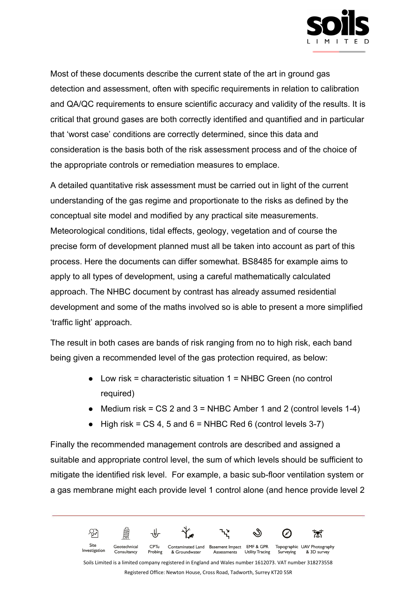

Most of these documents describe the current state of the art in ground gas detection and assessment, often with specific requirements in relation to calibration and QA/QC requirements to ensure scientific accuracy and validity of the results. It is critical that ground gases are both correctly identified and quantified and in particular that 'worst case' conditions are correctly determined, since this data and consideration is the basis both of the risk assessment process and of the choice of the appropriate controls or remediation measures to emplace.

A detailed quantitative risk assessment must be carried out in light of the current understanding of the gas regime and proportionate to the risks as defined by the conceptual site model and modified by any practical site measurements. Meteorological conditions, tidal effects, geology, vegetation and of course the precise form of development planned must all be taken into account as part of this process. Here the documents can differ somewhat. BS8485 for example aims to apply to all types of development, using a careful mathematically calculated approach. The NHBC document by contrast has already assumed residential development and some of the maths involved so is able to present a more simplified 'traffic light' approach.

The result in both cases are bands of risk ranging from no to high risk, each band being given a recommended level of the gas protection required, as below:

- $\bullet$  Low risk = characteristic situation 1 = NHBC Green (no control required)
- Medium risk =  $CS$  2 and 3 = NHBC Amber 1 and 2 (control levels 1-4)
- $\bullet$  High risk = CS 4, 5 and 6 = NHBC Red 6 (control levels 3-7)

Finally the recommended management controls are described and assigned a suitable and appropriate control level, the sum of which levels should be sufficient to mitigate the identified risk level. For example, a basic sub-floor ventilation system or a gas membrane might each provide level 1 control alone (and hence provide level 2

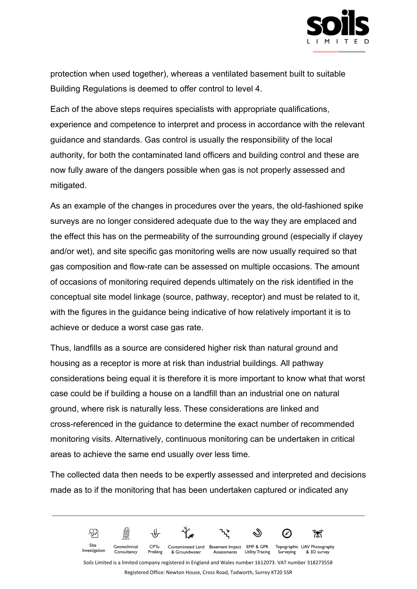

protection when used together), whereas a ventilated basement built to suitable Building Regulations is deemed to offer control to level 4.

Each of the above steps requires specialists with appropriate qualifications, experience and competence to interpret and process in accordance with the relevant guidance and standards. Gas control is usually the responsibility of the local authority, for both the contaminated land officers and building control and these are now fully aware of the dangers possible when gas is not properly assessed and mitigated.

As an example of the changes in procedures over the years, the old-fashioned spike surveys are no longer considered adequate due to the way they are emplaced and the effect this has on the permeability of the surrounding ground (especially if clayey and/or wet), and site specific gas monitoring wells are now usually required so that gas composition and flow-rate can be assessed on multiple occasions. The amount of occasions of monitoring required depends ultimately on the risk identified in the conceptual site model linkage (source, pathway, receptor) and must be related to it, with the figures in the guidance being indicative of how relatively important it is to achieve or deduce a worst case gas rate.

Thus, landfills as a source are considered higher risk than natural ground and housing as a receptor is more at risk than industrial buildings. All pathway considerations being equal it is therefore it is more important to know what that worst case could be if building a house on a landfill than an industrial one on natural ground, where risk is naturally less. These considerations are linked and cross-referenced in the guidance to determine the exact number of recommended monitoring visits. Alternatively, continuous monitoring can be undertaken in critical areas to achieve the same end usually over less time.

The collected data then needs to be expertly assessed and interpreted and decisions made as to if the monitoring that has been undertaken captured or indicated any